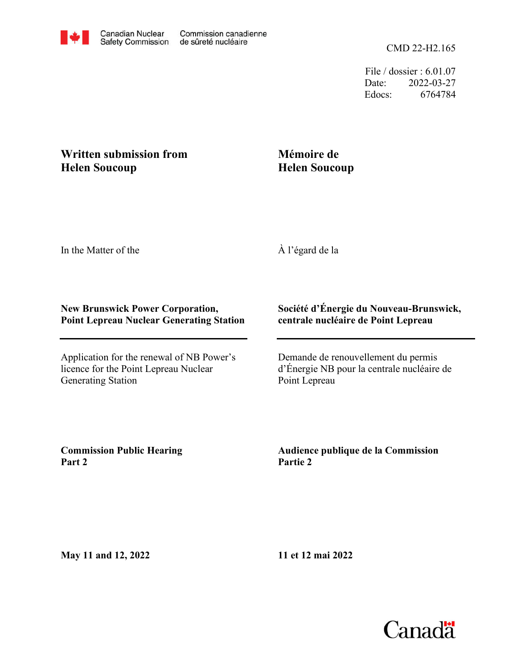File / dossier : 6.01.07 Date: 2022-03-27 Edocs: 6764784

## **Written submission from Helen Soucoup**

## **Mémoire de Helen Soucoup**

In the Matter of the

À l'égard de la

## **New Brunswick Power Corporation, Point Lepreau Nuclear Generating Station**

Application for the renewal of NB Power's licence for the Point Lepreau Nuclear Generating Station

## **Société d'Énergie du Nouveau-Brunswick, centrale nucléaire de Point Lepreau**

Demande de renouvellement du permis d'Énergie NB pour la centrale nucléaire de Point Lepreau

**Commission Public Hearing Part 2**

**Audience publique de la Commission Partie 2**

**May 11 and 12, 2022**

**11 et 12 mai 2022**